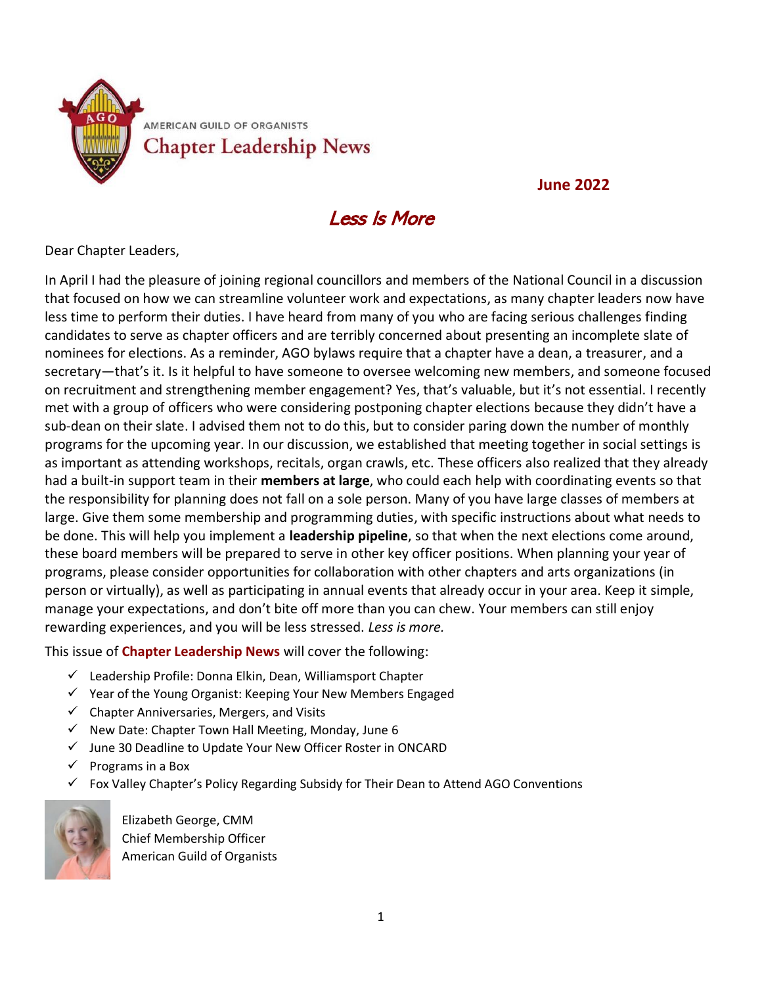

**June 2022**

### Less Is More

Dear Chapter Leaders,

In April I had the pleasure of joining regional councillors and members of the National Council in a discussion that focused on how we can streamline volunteer work and expectations, as many chapter leaders now have less time to perform their duties. I have heard from many of you who are facing serious challenges finding candidates to serve as chapter officers and are terribly concerned about presenting an incomplete slate of nominees for elections. As a reminder, AGO bylaws require that a chapter have a dean, a treasurer, and a secretary—that's it. Is it helpful to have someone to oversee welcoming new members, and someone focused on recruitment and strengthening member engagement? Yes, that's valuable, but it's not essential. I recently met with a group of officers who were considering postponing chapter elections because they didn't have a sub-dean on their slate. I advised them not to do this, but to consider paring down the number of monthly programs for the upcoming year. In our discussion, we established that meeting together in social settings is as important as attending workshops, recitals, organ crawls, etc. These officers also realized that they already had a built-in support team in their **members at large**, who could each help with coordinating events so that the responsibility for planning does not fall on a sole person. Many of you have large classes of members at large. Give them some membership and programming duties, with specific instructions about what needs to be done. This will help you implement a **leadership pipeline**, so that when the next elections come around, these board members will be prepared to serve in other key officer positions. When planning your year of programs, please consider opportunities for collaboration with other chapters and arts organizations (in person or virtually), as well as participating in annual events that already occur in your area. Keep it simple, manage your expectations, and don't bite off more than you can chew. Your members can still enjoy rewarding experiences, and you will be less stressed. *Less is more.*

This issue of **Chapter Leadership News** will cover the following:

- ✓ Leadership Profile: Donna Elkin, Dean, Williamsport Chapter
- ✓ Year of the Young Organist: Keeping Your New Members Engaged
- $\checkmark$  Chapter Anniversaries, Mergers, and Visits
- $\checkmark$  New Date: Chapter Town Hall Meeting, Monday, June 6
- ✓ June 30 Deadline to Update Your New Officer Roster in ONCARD
- ✓ Programs in a Box
- ✓ Fox Valley Chapter's Policy Regarding Subsidy for Their Dean to Attend AGO Conventions



Elizabeth George, CMM Chief Membership Officer American Guild of Organists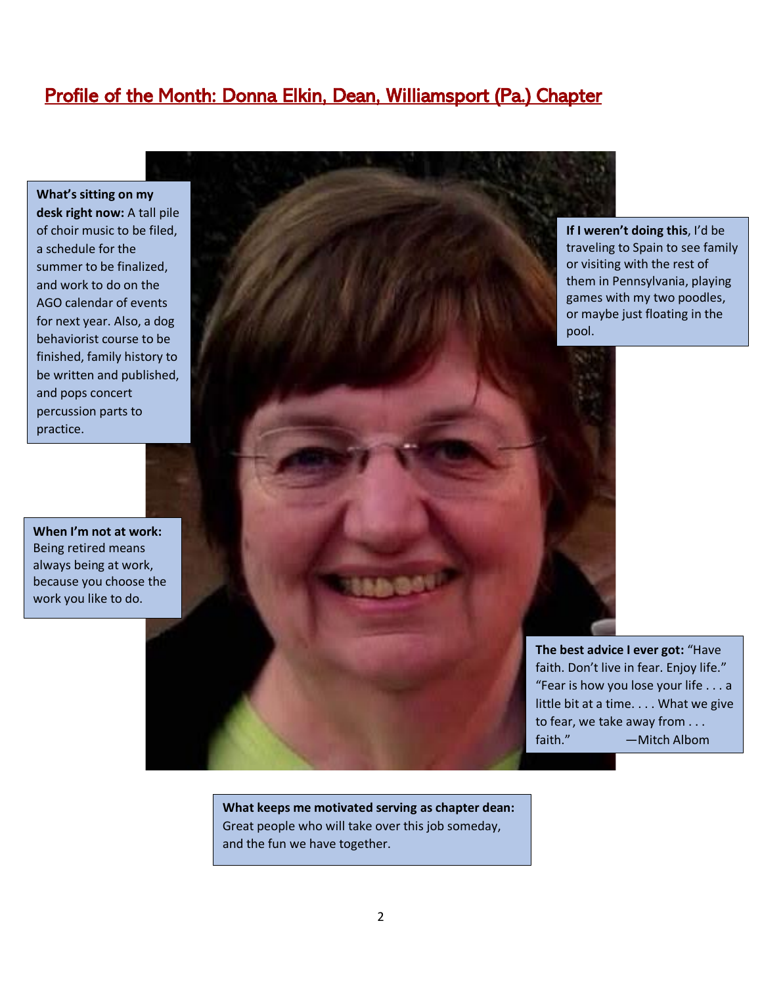### Profile of the Month: Donna Elkin, Dean, Williamsport (Pa.) Chapter

**What's sitting on my desk right now:** A tall pile of choir music to be filed, a schedule for the summer to be finalized, and work to do on the AGO calendar of events for next year. Also, a dog behaviorist course to be finished, family history to be written and published, and pops concert percussion parts to practice.

**When I'm not at work:** Being retired means always being at work, because you choose the work you like to do.

pool.

**What keeps me motivated serving as chapter dean:** Great people who will take over this job someday, and the fun we have together.

**If I weren't doing this**, I'd be traveling to Spain to see family or visiting with the rest of them in Pennsylvania, playing games with my two poodles, or maybe just floating in the

**The best advice I ever got:** "Have faith. Don't live in fear. Enjoy life." "Fear is how you lose your life . . . a little bit at a time. . . . What we give to fear, we take away from . . . faith." — Mitch Albom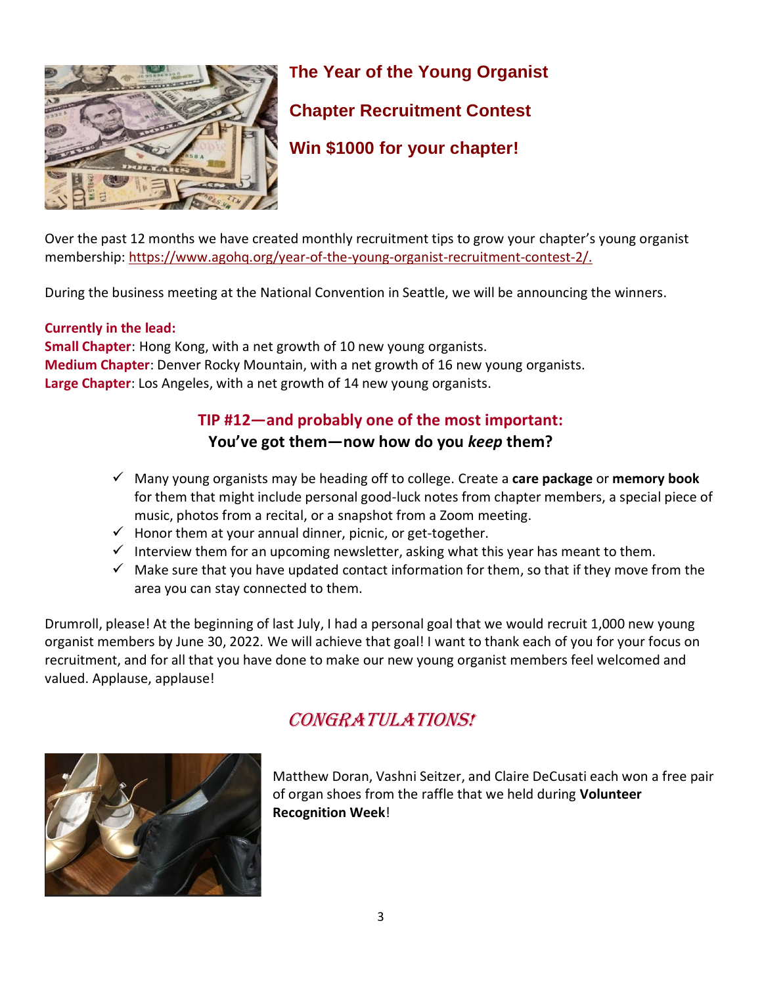

# **The Year of the Young Organist Chapter Recruitment Contest Win \$1000 for your chapter!**

Over the past 12 months we have created monthly recruitment tips to grow your chapter's young organist membership: [https://www.agohq.org/year-of-the-young-organist-recruitment-contest-2/.](https://www.agohq.org/year-of-the-young-organist-recruitment-contest-2/)

During the business meeting at the National Convention in Seattle, we will be announcing the winners.

#### **Currently in the lead:**

**Small Chapter**: Hong Kong, with a net growth of 10 new young organists. **Medium Chapter**: Denver Rocky Mountain, with a net growth of 16 new young organists. **Large Chapter**: Los Angeles, with a net growth of 14 new young organists.

### **TIP #12—and probably one of the most important:**

#### **You've got them—now how do you** *keep* **them?**

- ✓ Many young organists may be heading off to college. Create a **care package** or **memory book** for them that might include personal good-luck notes from chapter members, a special piece of music, photos from a recital, or a snapshot from a Zoom meeting.
- $\checkmark$  Honor them at your annual dinner, picnic, or get-together.
- $\checkmark$  Interview them for an upcoming newsletter, asking what this year has meant to them.
- $\checkmark$  Make sure that you have updated contact information for them, so that if they move from the area you can stay connected to them.

Drumroll, please! At the beginning of last July, I had a personal goal that we would recruit 1,000 new young organist members by June 30, 2022. We will achieve that goal! I want to thank each of you for your focus on recruitment, and for all that you have done to make our new young organist members feel welcomed and valued. Applause, applause!





Matthew Doran, Vashni Seitzer, and Claire DeCusati each won a free pair of organ shoes from the raffle that we held during **Volunteer Recognition Week**!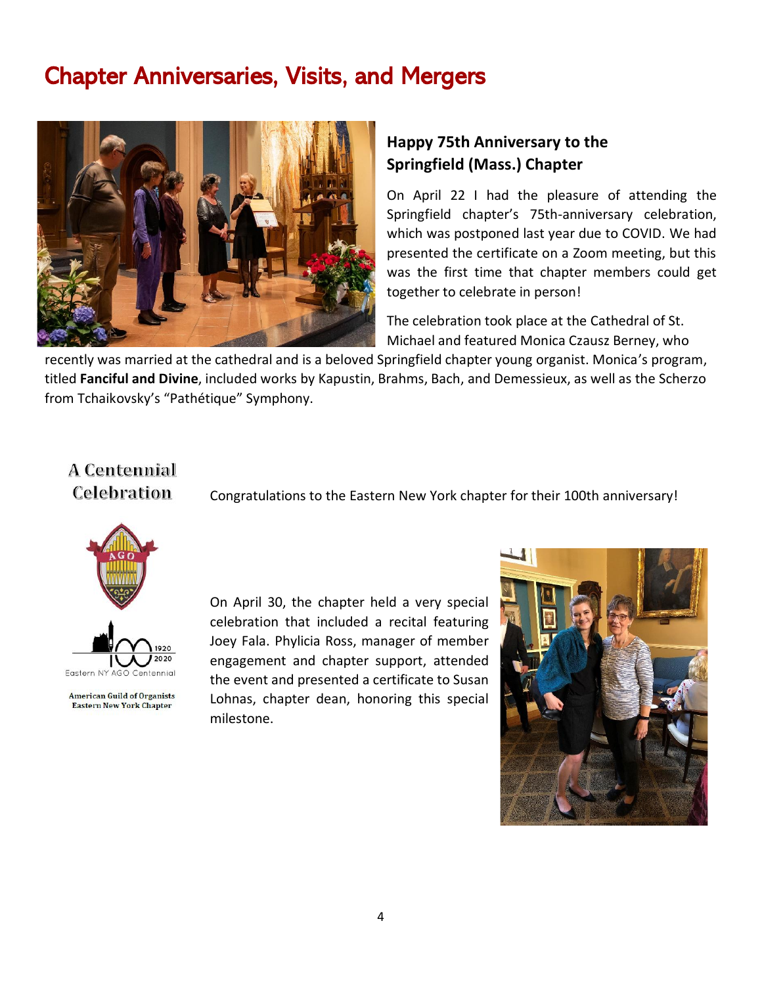### Chapter Anniversaries, Visits, and Mergers



#### **Happy 75th Anniversary to the Springfield (Mass.) Chapter**

On April 22 I had the pleasure of attending the Springfield chapter's 75th-anniversary celebration, which was postponed last year due to COVID. We had presented the certificate on a Zoom meeting, but this was the first time that chapter members could get together to celebrate in person!

The celebration took place at the Cathedral of St. Michael and featured Monica Czausz Berney, who

recently was married at the cathedral and is a beloved Springfield chapter young organist. Monica's program, titled **Fanciful and Divine**, included works by Kapustin, Brahms, Bach, and Demessieux, as well as the Scherzo from Tchaikovsky's "Pathétique" Symphony.

### A Centennial **Celebration**

Congratulations to the Eastern New York chapter for their 100th anniversary!





**American Guild of Organists Eastern New York Chapter** 

On April 30, the chapter held a very special celebration that included a recital featuring Joey Fala. Phylicia Ross, manager of member engagement and chapter support, attended the event and presented a certificate to Susan Lohnas, chapter dean, honoring this special milestone.

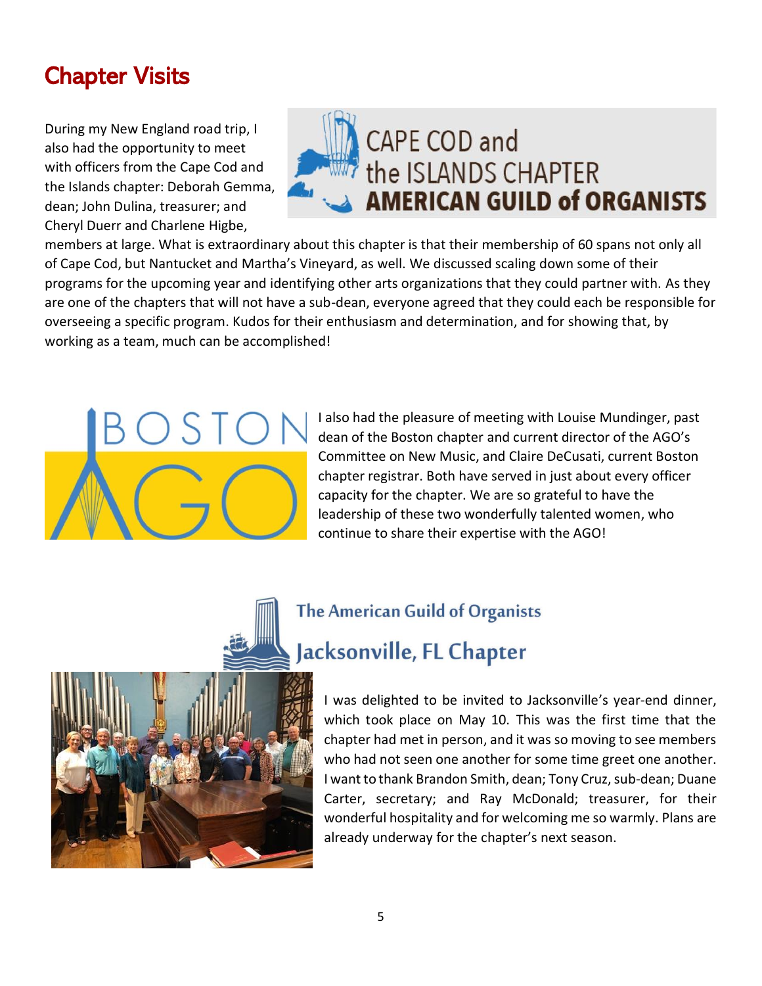## Chapter Visits

During my New England road trip, I also had the opportunity to meet with officers from the Cape Cod and the Islands chapter: Deborah Gemma, dean; John Dulina, treasurer; and Cheryl Duerr and Charlene Higbe,



members at large. What is extraordinary about this chapter is that their membership of 60 spans not only all of Cape Cod, but Nantucket and Martha's Vineyard, as well. We discussed scaling down some of their programs for the upcoming year and identifying other arts organizations that they could partner with. As they are one of the chapters that will not have a sub-dean, everyone agreed that they could each be responsible for overseeing a specific program. Kudos for their enthusiasm and determination, and for showing that, by working as a team, much can be accomplished!



I also had the pleasure of meeting with Louise Mundinger, past dean of the Boston chapter and current director of the AGO's Committee on New Music, and Claire DeCusati, current Boston chapter registrar. Both have served in just about every officer capacity for the chapter. We are so grateful to have the leadership of these two wonderfully talented women, who continue to share their expertise with the AGO!



# **The American Guild of Organists** Jacksonville, FL Chapter

I was delighted to be invited to Jacksonville's year-end dinner, which took place on May 10. This was the first time that the chapter had met in person, and it was so moving to see members who had not seen one another for some time greet one another. I want to thank Brandon Smith, dean; Tony Cruz, sub-dean; Duane Carter, secretary; and Ray McDonald; treasurer, for their wonderful hospitality and for welcoming me so warmly. Plans are already underway for the chapter's next season.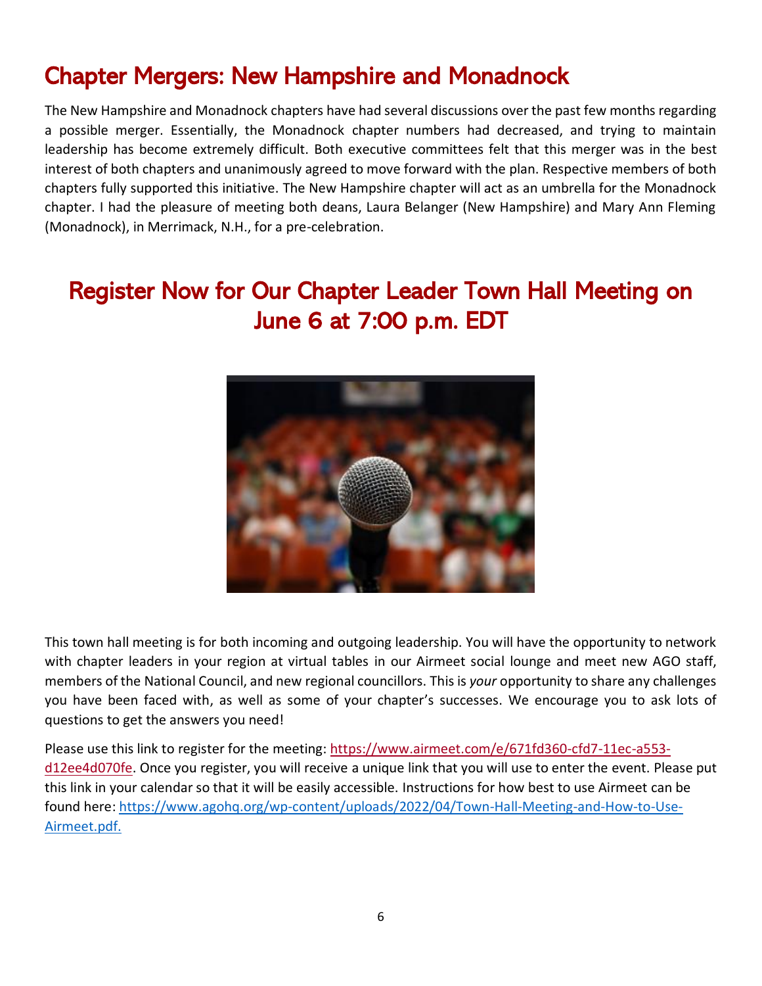### Chapter Mergers: New Hampshire and Monadnock

The New Hampshire and Monadnock chapters have had several discussions over the past few months regarding a possible merger. Essentially, the Monadnock chapter numbers had decreased, and trying to maintain leadership has become extremely difficult. Both executive committees felt that this merger was in the best interest of both chapters and unanimously agreed to move forward with the plan. Respective members of both chapters fully supported this initiative. The New Hampshire chapter will act as an umbrella for the Monadnock chapter. I had the pleasure of meeting both deans, Laura Belanger (New Hampshire) and Mary Ann Fleming (Monadnock), in Merrimack, N.H., for a pre-celebration.

## Register Now for Our Chapter Leader Town Hall Meeting on June 6 at 7:00 p.m. EDT



This town hall meeting is for both incoming and outgoing leadership. You will have the opportunity to network with chapter leaders in your region at virtual tables in our Airmeet social lounge and meet new AGO staff, members of the National Council, and new regional councillors. This is *your* opportunity to share any challenges you have been faced with, as well as some of your chapter's successes. We encourage you to ask lots of questions to get the answers you need!

Please use this link to register for the meeting: [https://www.airmeet.com/e/671fd360-cfd7-11ec-a553](https://www.airmeet.com/e/671fd360-cfd7-11ec-a553-d12ee4d070fe) [d12ee4d070fe.](https://www.airmeet.com/e/671fd360-cfd7-11ec-a553-d12ee4d070fe) Once you register, you will receive a unique link that you will use to enter the event. Please put this link in your calendar so that it will be easily accessible. Instructions for how best to use Airmeet can be found here: [https://www.agohq.org/wp-content/uploads/2022/04/Town-Hall-Meeting-and-How-to-Use-](https://www.agohq.org/wp-content/uploads/2022/04/Town-Hall-Meeting-and-How-to-Use-Airmeet.pdf.)[Airmeet.pdf.](https://www.agohq.org/wp-content/uploads/2022/04/Town-Hall-Meeting-and-How-to-Use-Airmeet.pdf.)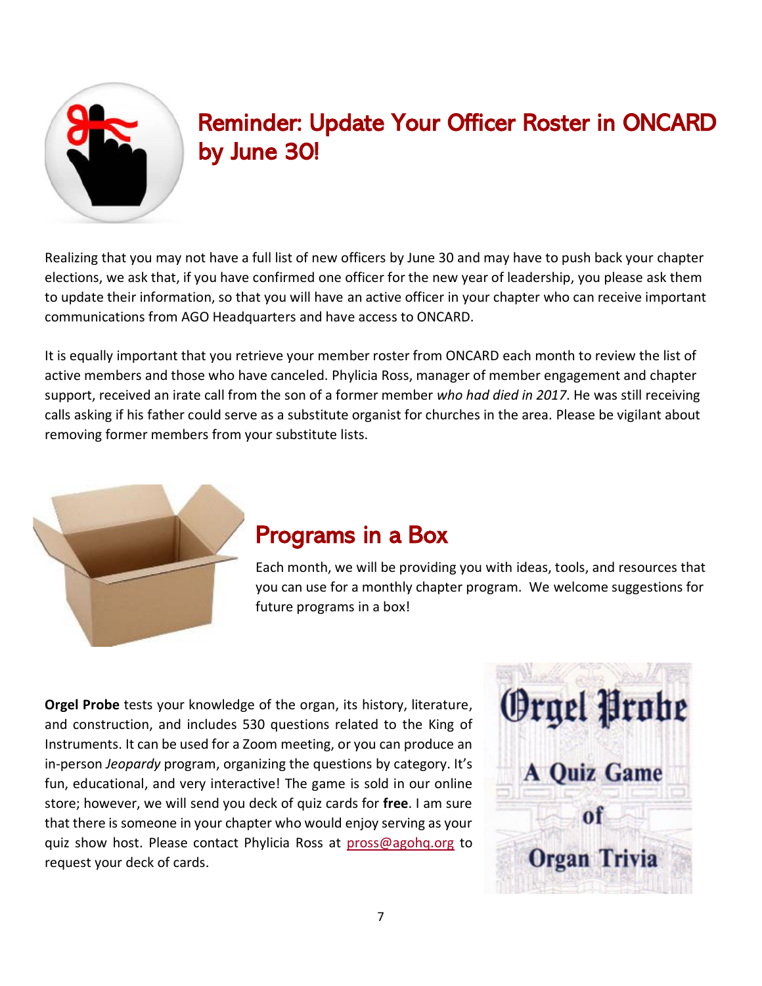

## Reminder: Update Your Officer Roster in ONCARD by June 30!

Realizing that you may not have a full list of new officers by June 30 and may have to push back your chapter elections, we ask that, if you have confirmed one officer for the new year of leadership, you please ask them to update their information, so that you will have an active officer in your chapter who can receive important communications from AGO Headquarters and have access to ONCARD.

It is equally important that you retrieve your member roster from ONCARD each month to review the list of active members and those who have canceled. Phylicia Ross, manager of member engagement and chapter support, received an irate call from the son of a former member *who had died in 2017*. He was still receiving calls asking if his father could serve as a substitute organist for churches in the area. Please be vigilant about removing former members from your substitute lists.



### Programs in a Box

Each month, we will be providing you with ideas, tools, and resources that you can use for a monthly chapter program. We welcome suggestions for future programs in a box!

**Orgel Probe** tests your knowledge of the organ, its history, literature, and construction, and includes 530 questions related to the King of Instruments. It can be used for a Zoom meeting, or you can produce an in-person *Jeopardy* program, organizing the questions by category. It's fun, educational, and very interactive! The game is sold in our online store; however, we will send you deck of quiz cards for **free**. I am sure that there is someone in your chapter who would enjoy serving as your quiz show host. Please contact Phylicia Ross at [pross@agohq.org](mailto:pross@agohq.org) to request your deck of cards.